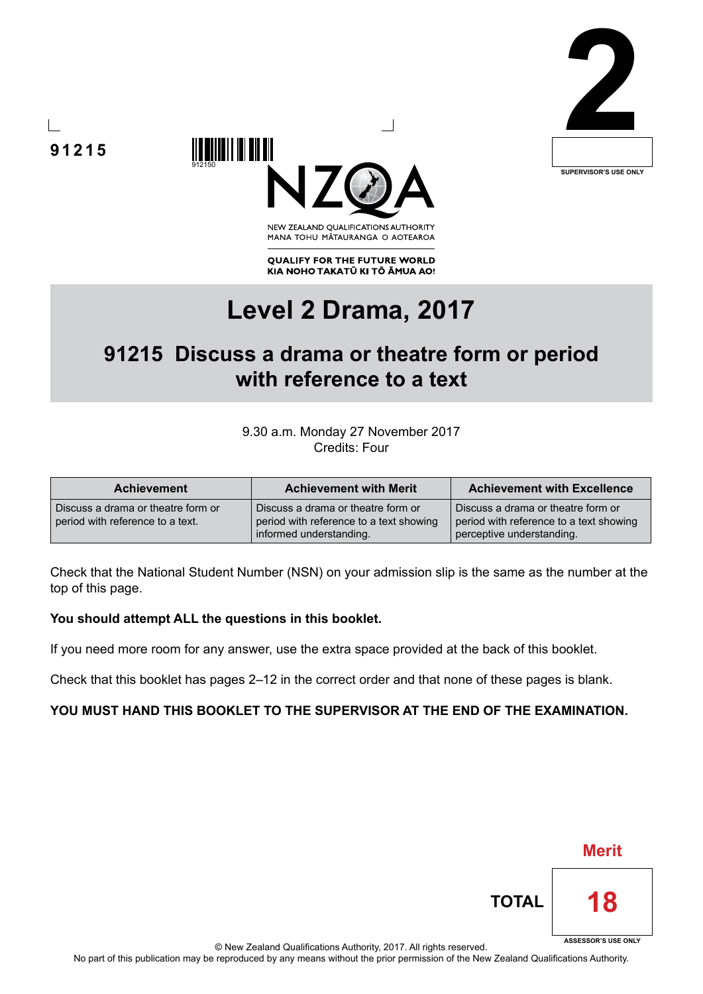







**QUALIFY FOR THE FUTURE WORLD** KIA NOHO TAKATŪ KI TŌ ĀMUA AO!

# **Level 2 Drama, 2017**

## **91215 Discuss a drama or theatre form or period with reference to a text**

9.30 a.m. Monday 27 November 2017 Credits: Four

| <b>Achievement</b>                                                     | <b>Achievement with Merit</b>                                                                            | <b>Achievement with Excellence</b>                                                                         |
|------------------------------------------------------------------------|----------------------------------------------------------------------------------------------------------|------------------------------------------------------------------------------------------------------------|
| Discuss a drama or theatre form or<br>period with reference to a text. | Discuss a drama or theatre form or<br>period with reference to a text showing<br>informed understanding. | Discuss a drama or theatre form or<br>period with reference to a text showing<br>perceptive understanding. |

Check that the National Student Number (NSN) on your admission slip is the same as the number at the top of this page.

### **You should attempt ALL the questions in this booklet.**

If you need more room for any answer, use the extra space provided at the back of this booklet.

Check that this booklet has pages 2–12 in the correct order and that none of these pages is blank.

### **YOU MUST HAND THIS BOOKLET TO THE SUPERVISOR AT THE END OF THE EXAMINATION.**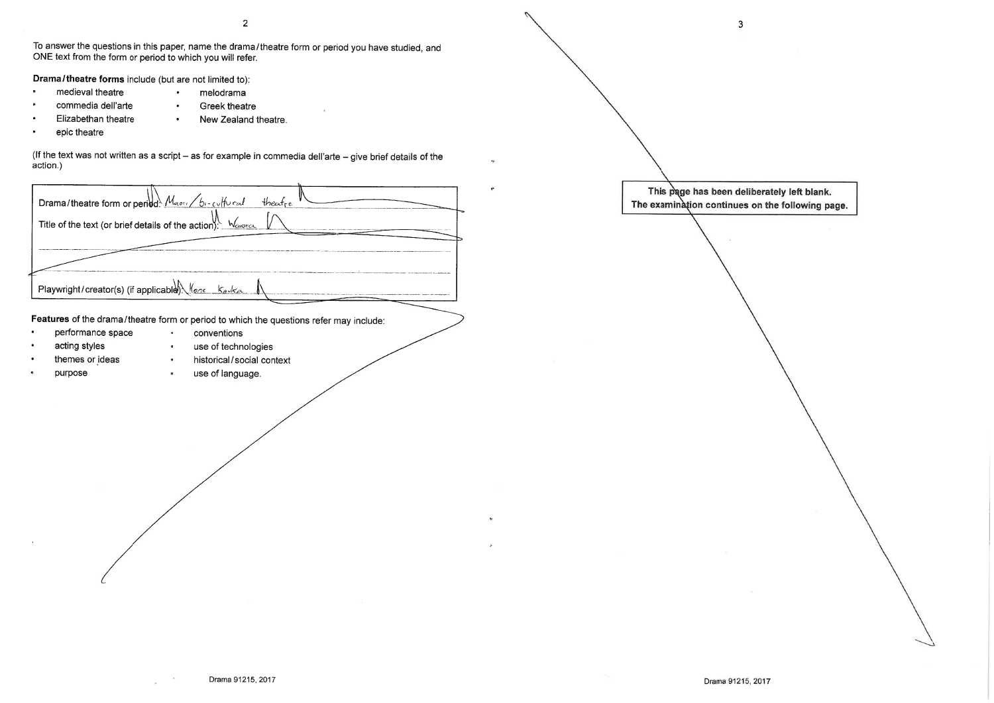$\overline{2}$ 

To answer the questions in this paper, name the drama/theatre form or period you have studied, and ONE text from the form or period to which you will refer.

Drama/theatre forms include (but are not limited to):

- medieval theatre
- melodrama  $\bullet$ **Greek theatre**  $\bullet$
- commedia dell'arte
	- Elizabethan theatre  $\bullet$  . New Zealand theatre.
- epic theatre

(If the text was not written as a script - as for example in commedia dell'arte - give brief details of the action.)

Drama/theatre form or period: Maper / bi-cultural  $H$ <sub>re</sub> Title of the text (or brief details of the action). Waren Playwright/creator(s) (if applicable). Hene kaska

Features of the drama/theatre form or period to which the questions refer may include:

conventions

- performance space  $\bullet$ 
	- use of technologies acting styles  $\bullet$
	- themes or ideas
	- purpose
- historical/social context

Drama 91215, 2017

use of language.  $\bullet$ 

 $\bullet$  .

 $\mathbf{3}$ 

This page has been deliberately left blank.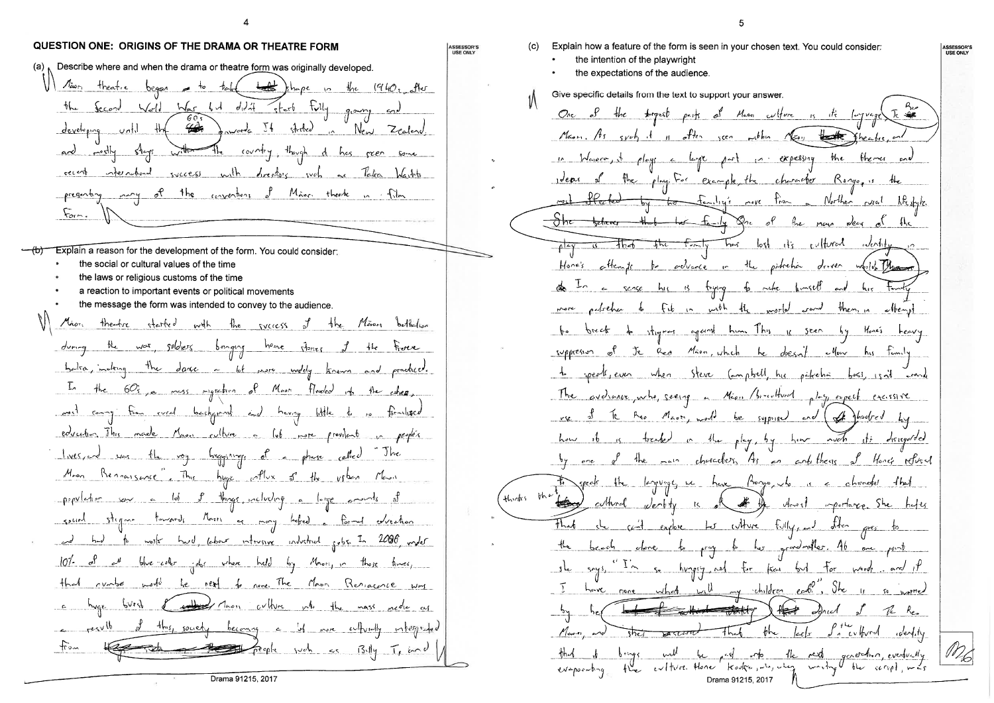



**ASSESSOR'S**<br>USE ONLY

the there part in expessing the play. For example, the character Ronge, is the to family's nove time a Norther wal Lite style. that the 14 Dr. of the name dear of That lost it's cylfurad ..Jent deven weild the and  $then, in$  $\n -$  themp  $H_{one's}$ theo Mass, would be supposed and of phoebed by Honey returned wentify is of the threat importance. She explore the culture fully, and after to pray to her grandweller. At  $sec$  point  $\sqrt{100}$  $-y$  children early, She 11 So gravited Heat Ind  $Re<sub>z</sub>$  $th$   $|cctx|$  $\int_{a}^{b}$  cyfyrd wendity be ad to the rest generation, eventually the extire there knows in the writing the cerred, mas Drama 91215, 2017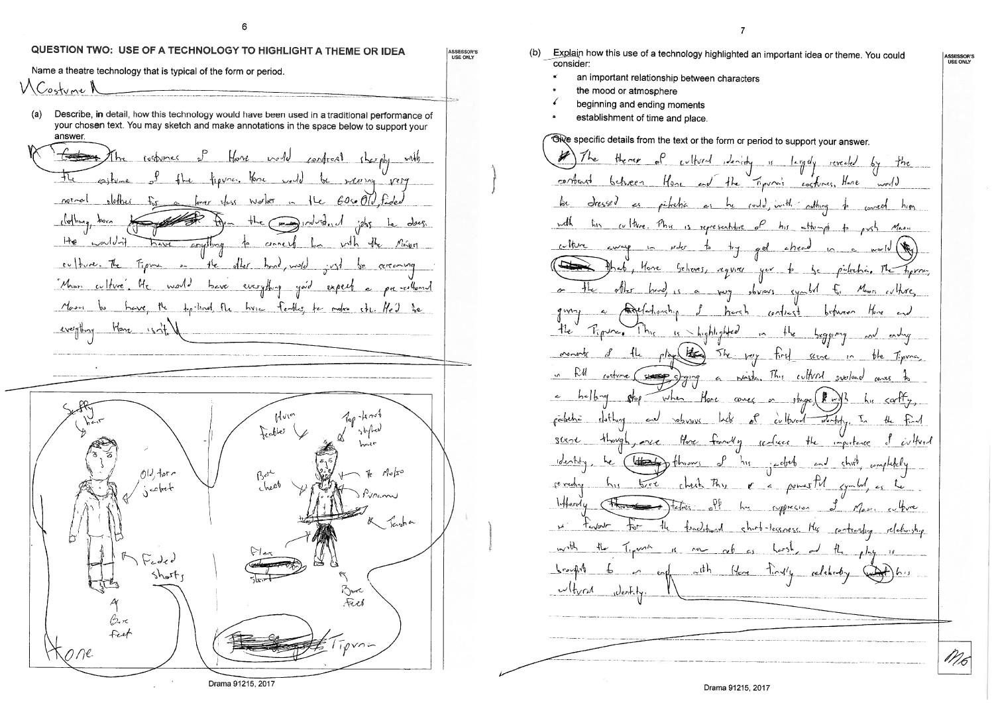## QUESTION TWO: USE OF A TECHNOLOGY TO HIGHLIGHT A THEME OR IDEA

Name a theatre technology that is typical of the form or period.

W Costume A

Describe, in detail, how this technology would have been used in a traditional performance of  $(a)$ your chosen text. You may sketch and make annotations in the space below to support your answer.

Have well confront the phy with 兀 figure. Hence well be weening very  $c_2$ tyme  $^1$ dether for natoral finger sloss worker in the 60xx Old fade the may industrial jobs be dong. clothing born  $H_{\mathcal{Q}}$  $colJ$  $v$ th the negro to correct have crything Figure = the other hand, mud culture. The  $\cdots$ certaming Man culture Mc would bave everything yord expect a pre-rellevent Marri to have the top-lind the hune feaths for make the Hed be everything Have sit  $700 - km$ Mules Feables  $01 \text{ for }$  $\beta$ er  $M_{0}/x^{0}$ cheer  $Jn_{c}$ m Seizh en  $\sqrt{2}$  ,  $\sqrt{2}$  $sh_{\sigma}$ Borc<br>Fizet

Drama 91215, 2017

Explain how this use of a technology highlighted an important idea or theme. You could  $(b)$ consider:

- an important relationship between characters
- the mood or atmosphere

ASSESSOR'S<br>USE ONLY

- beginning and ending moments
- establishment of time and place.

Give specific details from the text or the form or period to support your answer. The there of cultural dentity is largely revealed by the contrast between Hose and the Figura's escharce, there would dressed as pikelia as he could, with oathing to concel him  $\int_{\mathcal{O}}$ this culture. This is representive of his stheringth udh cothere civicip in protor to gel cheed  $\sim$ that, Hone Geheves, requirer you to be patrician The hand is a very obvious symbol for Mewri culture, Angelectionship I hersh contrast between Home and  $\sim$ Tipune. This is highlighted in the begging and ending  $H_{\mathcal{C}}$ the voy first serve in the Tipma cronerty fk w RU ging a waite. This cultural swellowed rostime (see stop when More comes or stage (2 MB his scritty,  $\sim$   $h$ - $\sqrt{h}$ - $\sim$ slothing and volumes lack of cultural working. In the find rabina parce Hore franchy realises the importance of cultural  $3$ kot  $4$ hovg $\downarrow$ Identity, he (laterary throws of his jacked and shift, ampletely  $h_{\rm u}$   $h_{\rm vt}$ check they  $\epsilon = \rho_{\text{energy}} \frac{f}{f}$  symbol,  $\epsilon_5$  to revedry  $l$ whered  $u$ syprecies of Massiculture  $H_{\alpha}$ fractional short-lessness. Me contrastry relationship  $\mathbf{p}$ teyour the Typical is now refuses hersh, and the play is bought to a copy with Home firstly relationly and his  $w(\frac{1}{2}v \wedge \frac{1}{2}v)$  when  $\frac{1}{2}v$ 

ASSESSOR'S

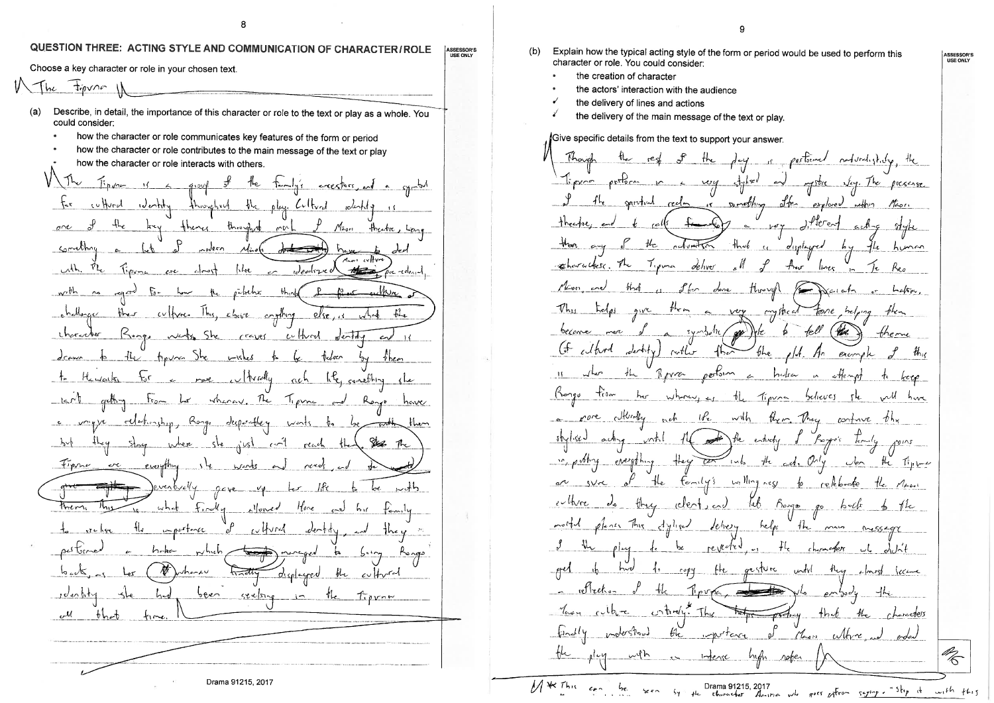8

### QUESTION THREE: ACTING STYLE AND COMMUNICATION OF CHARACTER/ROLE **ASSESSOR'S**<br>USE ONLY

Choose a key character or role in your chosen text.  $W$  The Figure Describe, in detail, the importance of this character or role to the text or play as a whole. You  $(a)$ could consider: how the character or role communicates key features of the form or period how the character or role contributes to the main message of the text or play how the character or role interacts with others.  $\setminus$  The the temps exerters, and a symbol  $\frac{1}{2}$ cultured identify throughout the play. Cultural  $\epsilon$ theres throughn  $\sigma$  $\rho v L$ Méori threatre, Something nodern  $u^2$  $V_{\mathcal{L}}$  $h_{\rm H}$ ل پردواپیول Tipure  $w^{th}$  $\rho^2$ kch $x$  $bh_{\rm in}$  $\overline{\mathcal{L}^{\circ}}$ challenger ther cultures this, choice crathing  $f_{\mathbf{L}}$ when else<sub>res</sub> theractur Kongo Wests She cultural  $C^{\text{cayel}}$  $w$ *entry* drawn to the finish the wishes  $t$ leker <u>them</u> not withrally like something she  $\pm$  $H_{\rm z}$   $u$  at  $k_1$  $mch$ wherev. The  $-lsrl$ getting to be  $7.0002$  and elekinship, Rongo desportbley  $c$   $v^{\gamma}$   $y$   $y$  $h_{\text{max}}$ wents to stay where she just Sel The  $-$ b $\vee$ أصى reach Finne or everything  $\frac{1}{2}$ went eventually  $96y$ e  $\frac{v}{y}$  $w h$ them  $f_{\nu\alpha}$ Hore  $m_{12}$ Noned لمبر  $h<sub>1</sub>$ importance whind dectity فمنعا pultime  $h$ cka  $n$ hich maraged  $\mathbf{r}$  $b^{11}$ Ŋ whanku  $b \omega$  $\sqrt{2}$ displayed  $\omega$  or  $\sim$ <u>been</u> reelong in the <u>idenhty</u>  $T$ prn $\kappa$ للىن  $-bhcb$  $f_{1}$ 

Drama 91215, 2017

**Q** Explain how the typical acting style of the form or period would be used to perform this character or role. You could consider: the creation of character the actors' interaction with the audience the delivery of lines and actions the delivery of the main message of the text or play. Give specific details from the text to support your answer. Tipson perform in a very styled and is something offer spiritual reelm explored  $mbn$  $+$ beerky  $J$ <sup>+</sup> $J$ <sup>+</sup> $J$  $e$  $\sim$  $J$  $C = \sqrt{d''}$  $a$ ch- $\epsilon$ than  $t/c$  $\mathcal{H}_{\mathcal{A}}$ reduction  $\mathcal{N}$ displayed reharactes. The Tipma deliver  $\mathsf{I}_{\mathsf{I}}$  $H_{\text{ref}}$  $\overline{1}$ Mon and  $f_{\rm tor}$ dene through  $\sqrt{2\pi Nc_1c_2}$  $\alpha$  $91V$  $t^{\mu}$  in  $\sim$ a very crystical tone help.  $symbah$  $6$ econe ggs We  $b$  fell more edford dentity)  $\bigoplus$ bhe rother fhat  $\overline{\mathcal{M}}$ .  $\mathcal{H}$ eremple

 $(b)$ 

day is pertoined naturalisticky, the mystic very. The presence  $M_{\rm cov}$  $914k$  $h$ unan  $L_{\alpha\beta\bar{\gamma}\gamma}$ theme  $t h_{\rm{B}}$ 扎 portson  $\sqrt{kr}$  $R_{IVZ}$  $H$  $h$ edra  $\epsilon$ in effection Ronge tien where is the Tipra believes  $h_{\text{V}}$ a proce dividly with them They continue the  $h$  $1\,\mathrm{K}_{\epsilon}$  $15/1$  sev  $v$ ntil the entirely forgo's lemily  $a$ ch  $q$ in publicy everything they the cet, Chy  $\frac{1}{2}$  into  $\omega$ en  $T_{\mu\nu}$ the family's willing ness to release  $e^{\gamma}$  g/rc  $\mathfrak{o}^{\prime}$  $M_{k+1}$ do they clerk, and tel Bongs ellere go bult  $7$ plener This dyliand delivery  $m$  $hel_{ps}$  $1\frac{1}{2}$ mais  $Mess492$ reverled いと  $\rho \sim$  $d\omega$  $\sim$  5 chermappy copy the gesture  $wtv$  $-$ ft $\vee$ <u>(comme</u>  $2$   $mst$ Tipupa, ret reton  $e^{\gamma\sqrt{2}}$ Your cubie  $\int$  otherly. The  $+h$ - $h$ न्क्रेस  $-\mathscr{H}_{\mathbf{C}}$ protocy chercoters inderstood bh inportave Chen  $w$ tre \_ഴ' th C <u>with</u> <u> 14</u> Intense  $ln \phi h$ rober ین<br>منگ  $5y = \mu k$  Drama 91215, 2017<br> $5y = \mu k$  character America who goes patron segments of Step at  $w_1$ th this

M \* This can be  $5e e n$  ASSESSOR'S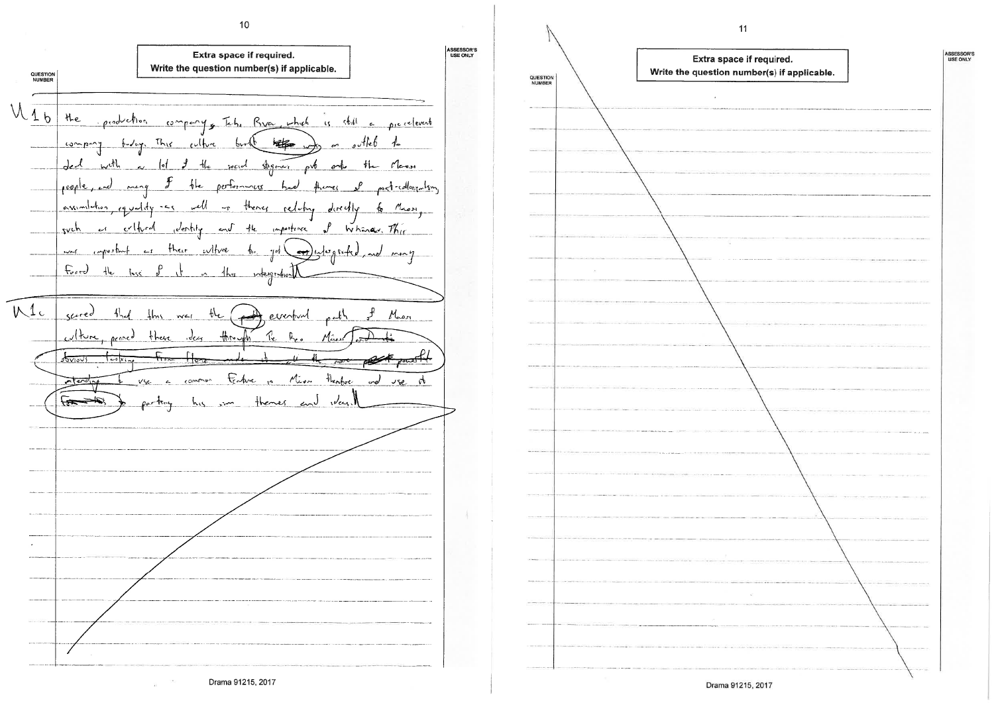ASSESSOR'S<br>USE ONLY Extra space if required. Write the question number(s) if applicable. QUESTION<br>NUMBER  $M_{1b}$ the company, Tab, Braz, which is still a precelevent oroduction  $H_0$ belogy. This culture offet  $0000$  $6v$ r  $\mathbb{R}^n$  $L2$  $de^{l}$  $shq_{max}$  orb <u>social</u>  $t_{\mathsf{L}}$ Mary \_(∙∤ onto reple  $h_{\rm e}$  $performs$ لىمە post-collegentsm  $m204$ theres eg und dy  $5 - 5$ للكس assimilition theny  $M_{\rm x, e, M}$  $-\tau$ relime derectly  $\int$ such أأمنع criture , Jentily  $\sim J$  $-4$ importance Whanav. This than witwe  $w-f$ wheeper  $-1$  $\mathbf{r}$  $\left( \frac{1}{2} \right)$   $\left( \frac{1}{2} \right)$ ألواء  $F_{\text{eff}}$  $H_{\rm e}$  $n \frac{1}{m}$  $\frac{1}{220}$ Intergr  $M_c$  $s$  $f_{net}$  $\theta$  $thn$  wel  $M_{\rm oon}$ everbud  $\omega$ lture ides  $400$  $R_{c}$ road these  $\mathcal{R}_{\epsilon}$  $\Gamma$  i  $\sqrt[4]{\frac{1}{2}}$  $\tau$ ily theorbic Fedva Miss ord  $\sqrt{2}$  $\sqrt{2}$  $USC$  $\sigma$  $\sqrt{1-\frac{1}{2}}$ henes way  $^\bullet$ 

 $10<sup>°</sup>$ 



 $11$ 

| required.<br>ber(s) if applicable. | ASSESSOR'S<br>USE ONLY |
|------------------------------------|------------------------|
|                                    |                        |
|                                    |                        |
|                                    |                        |
|                                    |                        |
|                                    |                        |
|                                    |                        |
|                                    |                        |
|                                    |                        |
|                                    |                        |
|                                    |                        |
|                                    |                        |
|                                    |                        |
|                                    |                        |
|                                    |                        |
|                                    |                        |
|                                    |                        |
|                                    |                        |
|                                    |                        |
|                                    |                        |
|                                    |                        |
|                                    |                        |
|                                    |                        |
|                                    |                        |
|                                    |                        |
|                                    |                        |
|                                    |                        |